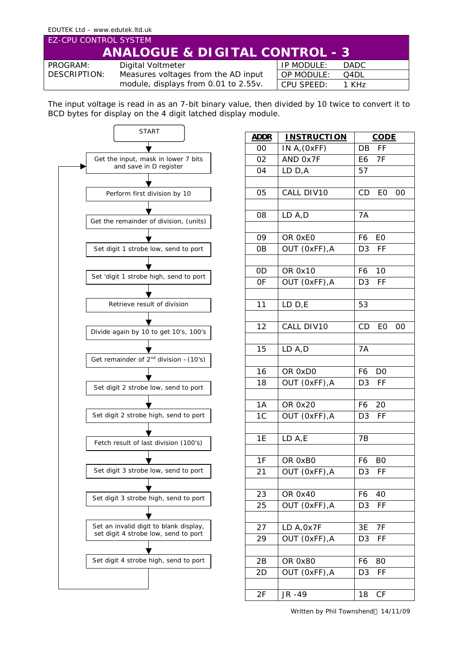## EDUTEK Ltd – www.edutek.ltd.uk EZ-CPU CONTROL SYSTEM **ANALOGUE & DIGITAL CONTROL - 3** IP MODULE: DADC PROGRAM: Digital Voltmeter DESCRIPTION: Measures voltages from the AD input

module, displays from 0.01 to 2.55v. CPU SPEED: 1 KHz

OP MODULE: Q4DL

The input voltage is read in as an 7-bit binary value, then divided by 10 twice to convert it to BCD bytes for display on the 4 digit latched display module.



| <u>ADDR</u>    | <b>INSTRUCTION</b> | <b>CODE</b>          |  |
|----------------|--------------------|----------------------|--|
| 00             | IN $A$ , $(0xFF)$  | DB FF                |  |
| 02             | AND 0x7F           | E6 7F                |  |
| 04             | LD D,A             | 57                   |  |
|                |                    |                      |  |
| 05             | CALL DIV10         | CD<br>EO<br>-00      |  |
|                |                    |                      |  |
| 08             | LD A,D             | 7A                   |  |
|                |                    |                      |  |
| 09             | OR 0xE0            | F6<br>EO             |  |
| 0B             | OUT (OxFF), A      | D <sub>3</sub><br>FF |  |
|                |                    |                      |  |
| 0D             | OR 0x10            | F6<br>10             |  |
| 0F             | OUT (OxFF), A      | FF<br>D <sub>3</sub> |  |
|                |                    |                      |  |
| 11             | LD D,E             | 53                   |  |
|                |                    |                      |  |
| 12             | CALL DIV10         | CD EO 00             |  |
|                |                    |                      |  |
| 15             | LD A,D             | 7A                   |  |
|                |                    |                      |  |
| 16             | OR 0xD0            | F6<br>D <sub>0</sub> |  |
| 18             | OUT (OxFF), A      | D <sub>3</sub><br>FF |  |
|                |                    |                      |  |
| 1A             | OR 0x20            | F6<br>20             |  |
| 1 <sup>C</sup> | OUT (OxFF), A      | D3<br><b>FF</b>      |  |
|                |                    |                      |  |
| 1E             | LD A,E             | 7B                   |  |
|                |                    |                      |  |
| 1F             | OR 0xB0            | F6<br>B0             |  |
| 21             | OUT (OxFF), A      | D3 FF                |  |
|                |                    |                      |  |
| 23             | OR 0x40            | F6<br>40             |  |
| 25             | OUT (OxFF), A      | FF<br>D <sub>3</sub> |  |
|                |                    |                      |  |
| 27             | LD A, 0x7F         | 3E<br>7F             |  |
| 29             | OUT (0xFF), A      | D <sub>3</sub><br>FF |  |
|                |                    |                      |  |
| 2B             | OR 0x80            | F6<br>80             |  |
| 2D             | OUT (OxFF), A      | FF<br>D <sub>3</sub> |  |
|                |                    |                      |  |
| 2F             | JR -49             | CF<br>18             |  |